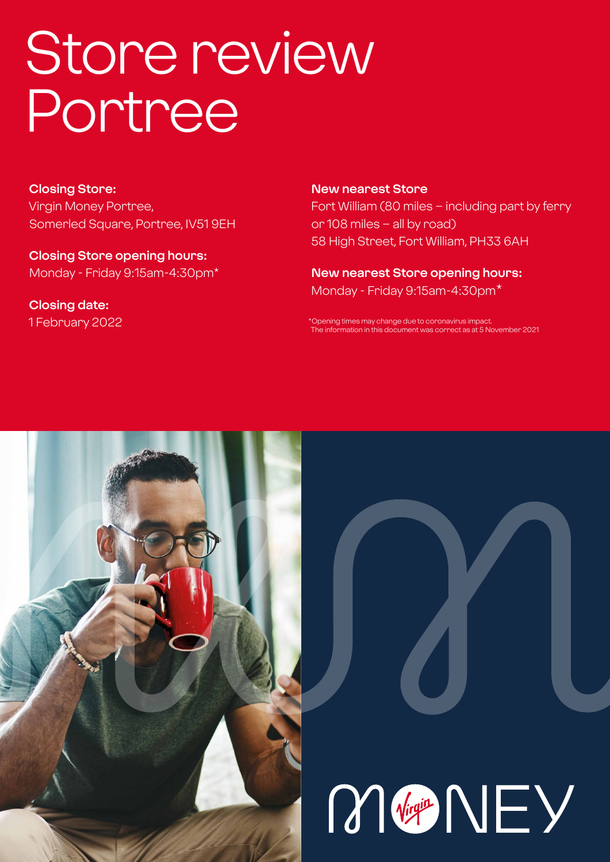# Store review Portree

**Closing Store:** Virgin Money Portree, Somerled Square, Portree, IV51 9EH

**Closing Store opening hours:**  Monday - Friday 9:15am-4:30pm\*

**Closing date:**  1 February 2022 **New nearest Store** Fort William (80 miles – including part by ferry or 108 miles – all by road) 58 High Street, Fort William, PH33 6AH

**New nearest Store opening hours:** Monday - Friday 9:15am-4:30pm\*

\*Opening times may change due to coronavirus impact. The information in this document was correct as at 5 November 2021



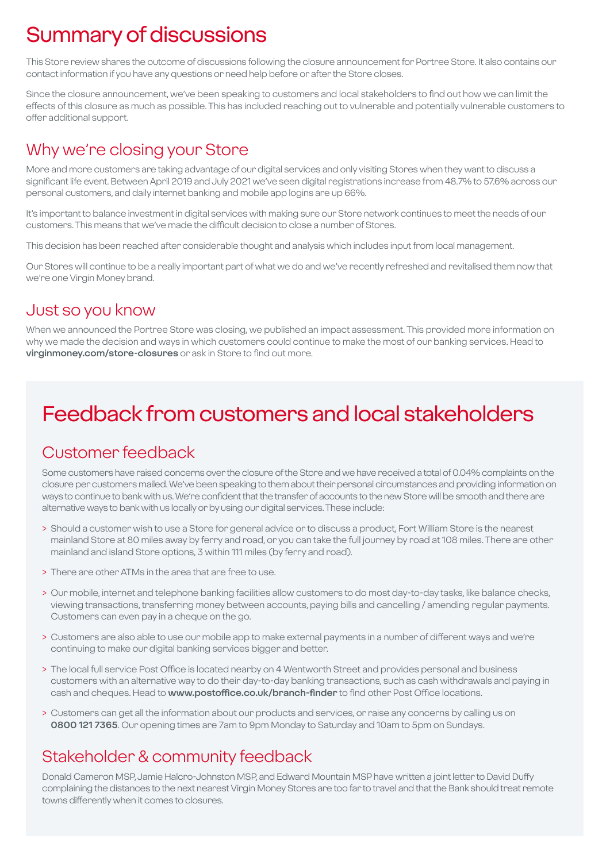# Summary of discussions

This Store review shares the outcome of discussions following the closure announcement for Portree Store. It also contains our contact information if you have any questions or need help before or after the Store closes.

Since the closure announcement, we've been speaking to customers and local stakeholders to find out how we can limit the effects of this closure as much as possible. This has included reaching out to vulnerable and potentially vulnerable customers to offer additional support.

### Why we're closing your Store

More and more customers are taking advantage of our digital services and only visiting Stores when they want to discuss a significant life event. Between April 2019 and July 2021 we've seen digital registrations increase from 48.7% to 57.6% across our personal customers, and daily internet banking and mobile app logins are up 66%.

It's important to balance investment in digital services with making sure our Store network continues to meet the needs of our customers. This means that we've made the difficult decision to close a number of Stores.

This decision has been reached after considerable thought and analysis which includes input from local management.

Our Stores will continue to be a really important part of what we do and we've recently refreshed and revitalised them now that we're one Virgin Money brand.

### Just so you know

When we announced the Portree Store was closing, we published an impact assessment. This provided more information on why we made the decision and ways in which customers could continue to make the most of our banking services. Head to **virginmoney.com/store-closures** or ask in Store to find out more.

# Feedback from customers and local stakeholders

### Customer feedback

Some customers have raised concerns over the closure of the Store and we have received a total of 0.04% complaints on the closure per customers mailed. We've been speaking to them about their personal circumstances and providing information on ways to continue to bank with us. We're confident that the transfer of accounts to the new Store will be smooth and there are alternative ways to bank with us locally or by using our digital services. These include:

- > Should a customer wish to use a Store for general advice or to discuss a product, Fort William Store is the nearest mainland Store at 80 miles away by ferry and road, or you can take the full journey by road at 108 miles. There are other mainland and island Store options, 3 within 111 miles (by ferry and road).
- > There are other ATMs in the area that are free to use.
- > Our mobile, internet and telephone banking facilities allow customers to do most day-to-day tasks, like balance checks, viewing transactions, transferring money between accounts, paying bills and cancelling / amending regular payments. Customers can even pay in a cheque on the go.
- > Customers are also able to use our mobile app to make external payments in a number of different ways and we're continuing to make our digital banking services bigger and better.
- > The local full service Post Office is located nearby on 4 Wentworth Street and provides personal and business customers with an alternative way to do their day-to-day banking transactions, such as cash withdrawals and paying in cash and cheques. Head to **www.postoffice.co.uk/branch-finder** to find other Post Office locations.
- > Customers can get all the information about our products and services, or raise any concerns by calling us on **0800 121 7365**. Our opening times are 7am to 9pm Monday to Saturday and 10am to 5pm on Sundays.

### Stakeholder & community feedback

Donald Cameron MSP, Jamie Halcro-Johnston MSP, and Edward Mountain MSP have written a joint letter to David Duffy complaining the distances to the next nearest Virgin Money Stores are too far to travel and that the Bank should treat remote towns differently when it comes to closures.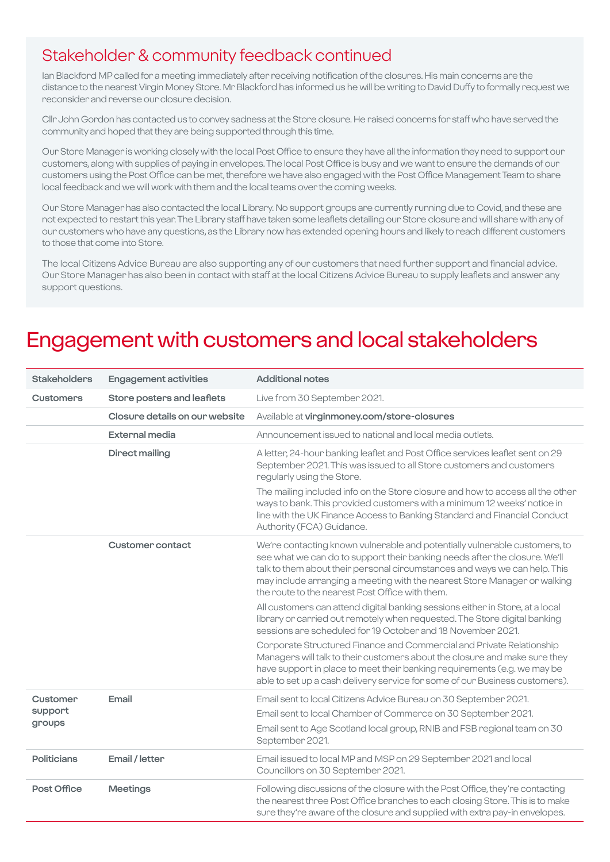### Stakeholder & community feedback continued

Ian Blackford MP called for a meeting immediately after receiving notification of the closures. His main concerns are the distance to the nearest Virgin Money Store. Mr Blackford has informed us he will be writing to David Duffy to formally request we reconsider and reverse our closure decision.

Cllr John Gordon has contacted us to convey sadness at the Store closure. He raised concerns for staff who have served the community and hoped that they are being supported through this time.

Our Store Manager is working closely with the local Post Office to ensure they have all the information they need to support our customers, along with supplies of paying in envelopes. The local Post Office is busy and we want to ensure the demands of our customers using the Post Office can be met, therefore we have also engaged with the Post Office Management Team to share local feedback and we will work with them and the local teams over the coming weeks.

Our Store Manager has also contacted the local Library. No support groups are currently running due to Covid, and these are not expected to restart this year. The Library staff have taken some leaflets detailing our Store closure and will share with any of our customers who have any questions, as the Library now has extended opening hours and likely to reach different customers to those that come into Store.

The local Citizens Advice Bureau are also supporting any of our customers that need further support and financial advice. Our Store Manager has also been in contact with staff at the local Citizens Advice Bureau to supply leaflets and answer any support questions.

### Engagement with customers and local stakeholders

| <b>Stakeholders</b>           | <b>Engagement activities</b>   | <b>Additional notes</b>                                                                                                                                                                                                                                                                                                                                                |
|-------------------------------|--------------------------------|------------------------------------------------------------------------------------------------------------------------------------------------------------------------------------------------------------------------------------------------------------------------------------------------------------------------------------------------------------------------|
| <b>Customers</b>              | Store posters and leaflets     | Live from 30 September 2021.                                                                                                                                                                                                                                                                                                                                           |
|                               | Closure details on our website | Available at virginmoney.com/store-closures                                                                                                                                                                                                                                                                                                                            |
|                               | <b>External media</b>          | Announcement issued to national and local media outlets.                                                                                                                                                                                                                                                                                                               |
|                               | Direct mailing                 | A letter, 24-hour banking leaflet and Post Office services leaflet sent on 29<br>September 2021. This was issued to all Store customers and customers<br>regularly using the Store.                                                                                                                                                                                    |
|                               |                                | The mailing included info on the Store closure and how to access all the other<br>ways to bank. This provided customers with a minimum 12 weeks' notice in<br>line with the UK Finance Access to Banking Standard and Financial Conduct<br>Authority (FCA) Guidance.                                                                                                   |
|                               | <b>Customer contact</b>        | We're contacting known vulnerable and potentially vulnerable customers, to<br>see what we can do to support their banking needs after the closure. We'll<br>talk to them about their personal circumstances and ways we can help. This<br>may include arranging a meeting with the nearest Store Manager or walking<br>the route to the nearest Post Office with them. |
|                               |                                | All customers can attend digital banking sessions either in Store, at a local<br>library or carried out remotely when requested. The Store digital banking<br>sessions are scheduled for 19 October and 18 November 2021.                                                                                                                                              |
|                               |                                | Corporate Structured Finance and Commercial and Private Relationship<br>Managers will talk to their customers about the closure and make sure they<br>have support in place to meet their banking requirements (e.g. we may be<br>able to set up a cash delivery service for some of our Business customers).                                                          |
| Customer<br>support<br>groups | Email                          | Email sent to local Citizens Advice Bureau on 30 September 2021.                                                                                                                                                                                                                                                                                                       |
|                               |                                | Email sent to local Chamber of Commerce on 30 September 2021.                                                                                                                                                                                                                                                                                                          |
|                               |                                | Email sent to Age Scotland local group, RNIB and FSB regional team on 30<br>September 2021.                                                                                                                                                                                                                                                                            |
| <b>Politicians</b>            | Email / letter                 | Email issued to local MP and MSP on 29 September 2021 and local<br>Councillors on 30 September 2021.                                                                                                                                                                                                                                                                   |
| <b>Post Office</b>            | <b>Meetings</b>                | Following discussions of the closure with the Post Office, they're contacting<br>the nearest three Post Office branches to each closing Store. This is to make<br>sure they're aware of the closure and supplied with extra pay-in envelopes.                                                                                                                          |